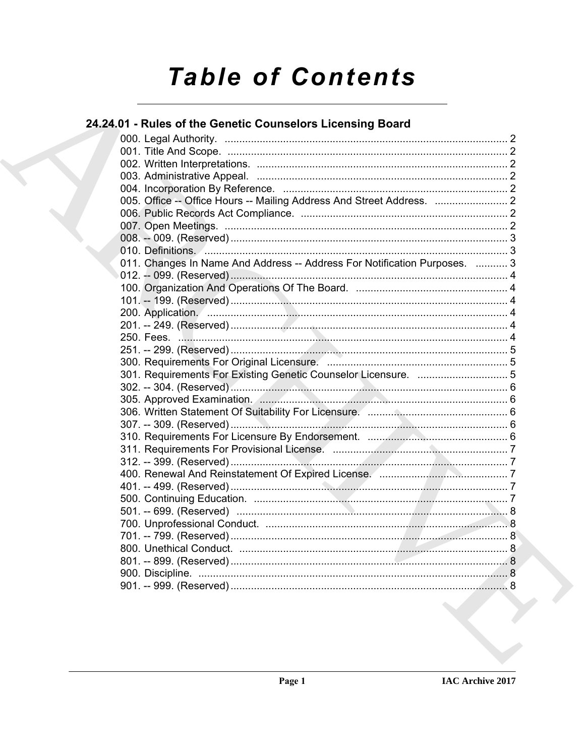# **Table of Contents**

## 24.24.01 - Rules of the Genetic Counselors Licensing Board

| 011. Changes In Name And Address -- Address For Notification Purposes.  3<br>301. Requirements For Existing Genetic Counselor Licensure.  5 |
|---------------------------------------------------------------------------------------------------------------------------------------------|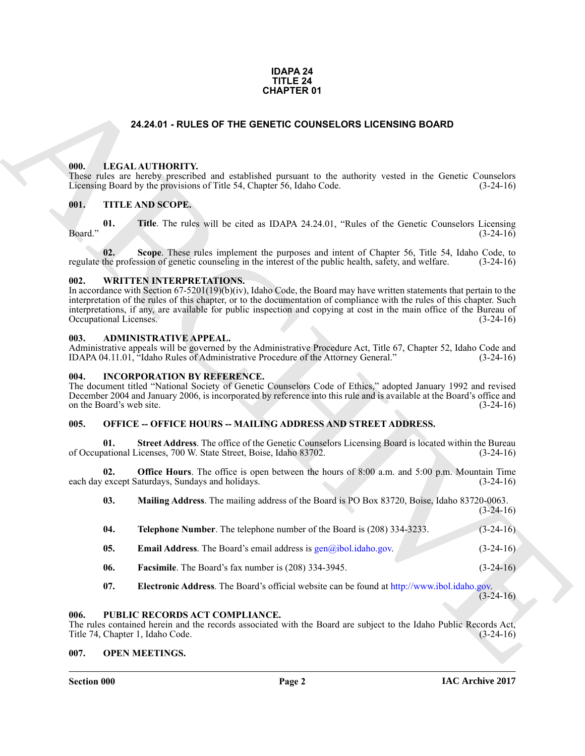#### **IDAPA 24 TITLE 24 CHAPTER 01**

#### **24.24.01 - RULES OF THE GENETIC COUNSELORS LICENSING BOARD**

#### <span id="page-1-1"></span><span id="page-1-0"></span>**000. LEGAL AUTHORITY.**

#### <span id="page-1-2"></span>**001. TITLE AND SCOPE.**

#### <span id="page-1-3"></span>**002. WRITTEN INTERPRETATIONS.**

#### <span id="page-1-4"></span>**003. ADMINISTRATIVE APPEAL.**

#### <span id="page-1-5"></span>**004. INCORPORATION BY REFERENCE.**

### <span id="page-1-6"></span>005. OFFICE -- OFFICE HOURS -- MAILING ADDRESS AND STREET ADDRESS.

| <b>CHAPTER 01</b> |         |                          |                                                                                                                                                                                                                                                                                                                                                                                                            |             |
|-------------------|---------|--------------------------|------------------------------------------------------------------------------------------------------------------------------------------------------------------------------------------------------------------------------------------------------------------------------------------------------------------------------------------------------------------------------------------------------------|-------------|
|                   |         |                          | 24.24.01 - RULES OF THE GENETIC COUNSELORS LICENSING BOARD                                                                                                                                                                                                                                                                                                                                                 |             |
|                   | 000.    |                          | LEGAL AUTHORITY.<br>These rules are hereby prescribed and established pursuant to the authority vested in the Genetic Counselors<br>Licensing Board by the provisions of Title 54, Chapter 56, Idaho Code.                                                                                                                                                                                                 | $(3-24-16)$ |
|                   | 001.    |                          | TITLE AND SCOPE.                                                                                                                                                                                                                                                                                                                                                                                           |             |
|                   | Board." | 01.                      | Title. The rules will be cited as IDAPA 24.24.01, "Rules of the Genetic Counselors Licensing                                                                                                                                                                                                                                                                                                               | $(3-24-16)$ |
|                   |         | 02.                      | Scope. These rules implement the purposes and intent of Chapter 56, Title 54, Idaho Code, to<br>regulate the profession of genetic counseling in the interest of the public health, safety, and welfare.                                                                                                                                                                                                   | $(3-24-16)$ |
|                   | 002.    | Occupational Licenses.   | <b>WRITTEN INTERPRETATIONS.</b><br>In accordance with Section 67-5201(19)(b)(iv), Idaho Code, the Board may have written statements that pertain to the<br>interpretation of the rules of this chapter, or to the documentation of compliance with the rules of this chapter. Such<br>interpretations, if any, are available for public inspection and copying at cost in the main office of the Bureau of | $(3-24-16)$ |
|                   | 003.    |                          | <b>ADMINISTRATIVE APPEAL.</b><br>Administrative appeals will be governed by the Administrative Procedure Act, Title 67, Chapter 52, Idaho Code and<br>IDAPA 04.11.01, "Idaho Rules of Administrative Procedure of the Attorney General."                                                                                                                                                                   | $(3-24-16)$ |
|                   | 004.    | on the Board's web site. | <b>INCORPORATION BY REFERENCE.</b><br>The document titled "National Society of Genetic Counselors Code of Ethics," adopted January 1992 and revised<br>December 2004 and January 2006, is incorporated by reference into this rule and is available at the Board's office and                                                                                                                              | $(3-24-16)$ |
|                   | 005.    |                          | <b>OFFICE -- OFFICE HOURS -- MAILING ADDRESS AND STREET ADDRESS.</b>                                                                                                                                                                                                                                                                                                                                       |             |
|                   |         | 01.                      | Street Address. The office of the Genetic Counselors Licensing Board is located within the Bureau<br>of Occupational Licenses, 700 W. State Street, Boise, Idaho 83702.                                                                                                                                                                                                                                    | $(3-24-16)$ |
|                   |         | 02.                      | <b>Office Hours</b> . The office is open between the hours of 8:00 a.m. and 5:00 p.m. Mountain Time<br>each day except Saturdays, Sundays and holidays.                                                                                                                                                                                                                                                    | $(3-24-16)$ |
|                   |         | 03.                      | Mailing Address. The mailing address of the Board is PO Box 83720, Boise, Idaho 83720-0063.                                                                                                                                                                                                                                                                                                                | $(3-24-16)$ |
|                   |         | 04.                      | Telephone Number. The telephone number of the Board is (208) 334-3233.                                                                                                                                                                                                                                                                                                                                     | $(3-24-16)$ |
|                   |         | 05.                      | <b>Email Address</b> . The Board's email address is $gen@ibol.idaho.gov$ .                                                                                                                                                                                                                                                                                                                                 | $(3-24-16)$ |
|                   |         | 06.                      | Facsimile. The Board's fax number is (208) 334-3945.                                                                                                                                                                                                                                                                                                                                                       | $(3-24-16)$ |
|                   |         | 07.                      | Electronic Address. The Board's official website can be found at http://www.ibol.idaho.gov.                                                                                                                                                                                                                                                                                                                | $(3-24-16)$ |
|                   | 006.    |                          | PUBLIC RECORDS ACT COMPLIANCE.<br>The rules contained herein and the records associated with the Board are subject to the Idaho Public Records Act,<br>Title 74, Chapter 1, Idaho Code.                                                                                                                                                                                                                    | $(3-24-16)$ |
|                   | 007.    |                          | <b>OPEN MEETINGS.</b>                                                                                                                                                                                                                                                                                                                                                                                      |             |

#### <span id="page-1-7"></span>**006. PUBLIC RECORDS ACT COMPLIANCE.**

#### <span id="page-1-8"></span>**007. OPEN MEETINGS.**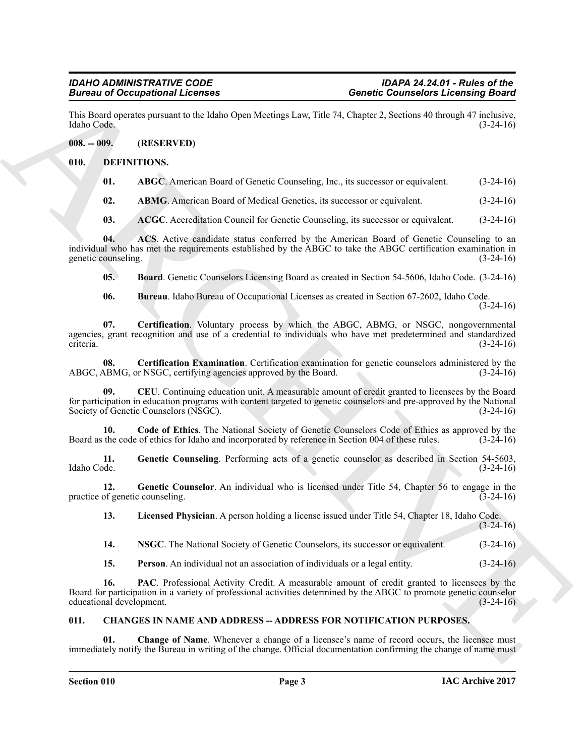This Board operates pursuant to the Idaho Open Meetings Law, Title 74, Chapter 2, Sections 40 through 47 inclusive, Idaho Code. (3-24-16)

#### <span id="page-2-0"></span>**008. -- 009. (RESERVED)**

#### <span id="page-2-1"></span>**010. DEFINITIONS.**

<span id="page-2-6"></span><span id="page-2-5"></span>

| 01. | <b>ABGC</b> . American Board of Genetic Counseling, Inc., its successor or equivalent. | $(3-24-16)$ |
|-----|----------------------------------------------------------------------------------------|-------------|
|-----|----------------------------------------------------------------------------------------|-------------|

<span id="page-2-7"></span>**02. ABMG**. American Board of Medical Genetics, its successor or equivalent. (3-24-16)

<span id="page-2-9"></span><span id="page-2-8"></span>**03. ACGC**. Accreditation Council for Genetic Counseling, its successor or equivalent. (3-24-16)

**04. ACS**. Active candidate status conferred by the American Board of Genetic Counseling to an individual who has met the requirements established by the ABGC to take the ABGC certification examination in genetic counseling. (3-24-16)

<span id="page-2-10"></span>**05. Board**. Genetic Counselors Licensing Board as created in Section 54-5606, Idaho Code. (3-24-16)

<span id="page-2-13"></span><span id="page-2-12"></span><span id="page-2-11"></span>**06. Bureau**. Idaho Bureau of Occupational Licenses as created in Section 67-2602, Idaho Code.  $(3-24-16)$ 

**Since the Connection of Example 12**<br> **Connection Connection Connection Connection School (3)**<br>
Line Bord Connection Board of Genetic Connection Line 74, Chapter 2, Section 60 language 4<sup>2</sup> register<br>
1.10. Determined the **07. Certification**. Voluntary process by which the ABGC, ABMG, or NSGC, nongovernmental agencies, grant recognition and use of a credential to individuals who have met predetermined and standardized criteria. (3-24-16)

**08.** Certification Examination. Certification examination for genetic counselors administered by the ABMG, or NSGC, certifying agencies approved by the Board. (3-24-16) ABGC, ABMG, or NSGC, certifying agencies approved by the Board.

<span id="page-2-14"></span>**09. CEU**. Continuing education unit. A measurable amount of credit granted to licensees by the Board for participation in education programs with content targeted to genetic counselors and pre-approved by the National Society of Genetic Counselors (NSGC). (3-24-16) Society of Genetic Counselors (NSGC).

<span id="page-2-15"></span>**10.** Code of Ethics. The National Society of Genetic Counselors Code of Ethics as approved by the the code of ethics for Idaho and incorporated by reference in Section 004 of these rules. (3-24-16) Board as the code of ethics for Idaho and incorporated by reference in Section 004 of these rules.

<span id="page-2-16"></span>**11.** Genetic Counseling. Performing acts of a genetic counselor as described in Section 54-5603, Idaho Code. (3-24-16) Idaho Code. (3-24-16)

**12.** Genetic Counselor. An individual who is licensed under Title 54, Chapter 56 to engage in the of genetic counseling. (3-24-16) practice of genetic counseling.

<span id="page-2-18"></span><span id="page-2-17"></span>**13. Licensed Physician**. A person holding a license issued under Title 54, Chapter 18, Idaho Code.

 $(3-24-16)$ 

<span id="page-2-19"></span>**14. NSGC**. The National Society of Genetic Counselors, its successor or equivalent. (3-24-16)

<span id="page-2-21"></span><span id="page-2-20"></span>**15. Person**. An individual not an association of individuals or a legal entity. (3-24-16)

**16. PAC**. Professional Activity Credit. A measurable amount of credit granted to licensees by the Board for participation in a variety of professional activities determined by the ABGC to promote genetic counselor educational development. (3-24-16)

### <span id="page-2-3"></span><span id="page-2-2"></span>**011. CHANGES IN NAME AND ADDRESS -- ADDRESS FOR NOTIFICATION PURPOSES.**

<span id="page-2-4"></span>**Change of Name.** Whenever a change of a licensee's name of record occurs, the licensee must immediately notify the Bureau in writing of the change. Official documentation confirming the change of name must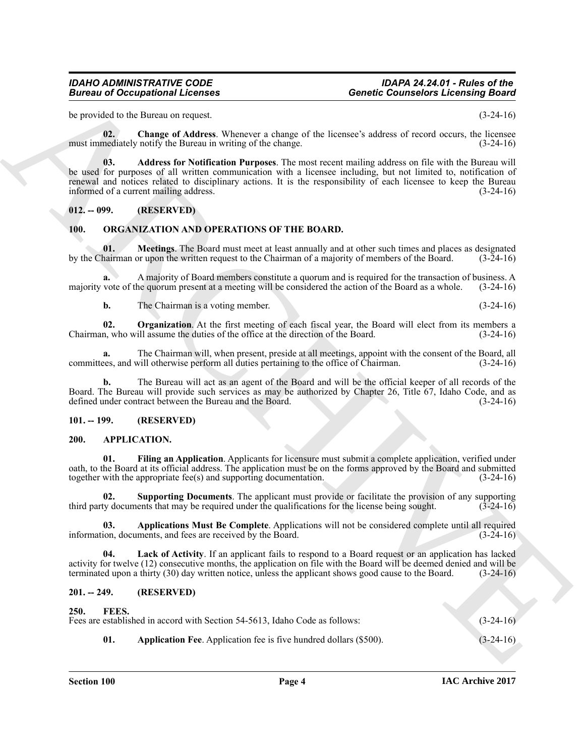#### *IDAHO ADMINISTRATIVE CODE IDAPA 24.24.01 - Rules of the Bureau of Occupational Licenses Genetic Counselors Licensing Board*

be provided to the Bureau on request. (3-24-16)

<span id="page-3-12"></span><span id="page-3-11"></span>**02. Change of Address**. Whenever a change of the licensee's address of record occurs, the licensee must immediately notify the Bureau in writing of the change. (3-24-16)

Given to Occupational Licenses<br>
Some Cosmission Licenses<br>
Some Cosmission Licenses<br>
Some Cosmission Licenses<br>
Some Cosmission Licenses<br>
Some Cosmission Licenses<br>
Some Cosmission Cosmission Cosmission Cosmission Cosmission **03. Address for Notification Purposes**. The most recent mailing address on file with the Bureau will be used for purposes of all written communication with a licensee including, but not limited to, notification of renewal and notices related to disciplinary actions. It is the responsibility of each licensee to keep the Bureau informed of a current mailing address. (3-24-16)

#### <span id="page-3-0"></span>**012. -- 099. (RESERVED)**

#### <span id="page-3-16"></span><span id="page-3-15"></span><span id="page-3-1"></span>**100. ORGANIZATION AND OPERATIONS OF THE BOARD.**

**01. Meetings**. The Board must meet at least annually and at other such times and places as designated hairman or upon the written request to the Chairman of a majority of members of the Board. (3-24-16) by the Chairman or upon the written request to the Chairman of a majority of members of the Board.

**a.** A majority of Board members constitute a quorum and is required for the transaction of business. A majority vote of the quorum present at a meeting will be considered the action of the Board as a whole. (3-24-16)

<span id="page-3-17"></span>**b.** The Chairman is a voting member. (3-24-16)

**02. Organization**. At the first meeting of each fiscal year, the Board will elect from its members a n, who will assume the duties of the office at the direction of the Board. (3-24-16) Chairman, who will assume the duties of the office at the direction of the Board.

**a.** The Chairman will, when present, preside at all meetings, appoint with the consent of the Board, all cless, and will otherwise perform all duties pertaining to the office of Chairman. (3-24-16) committees, and will otherwise perform all duties pertaining to the office of Chairman.

**b.** The Bureau will act as an agent of the Board and will be the official keeper of all records of the Board. The Bureau will provide such services as may be authorized by Chapter 26, Title 67, Idaho Code, and as defined under contract between the Bureau and the Board. (3-24-16)

#### <span id="page-3-2"></span>**101. -- 199. (RESERVED)**

#### <span id="page-3-6"></span><span id="page-3-3"></span>**200. APPLICATION.**

<span id="page-3-8"></span>**Filing an Application**. Applicants for licensure must submit a complete application, verified under oath, to the Board at its official address. The application must be on the forms approved by the Board and submitted together with the appropriate fee(s) and supporting documentation. (3-24-16)

<span id="page-3-10"></span>**02. Supporting Documents**. The applicant must provide or facilitate the provision of any supporting ty documents that may be required under the qualifications for the license being sought. (3-24-16) third party documents that may be required under the qualifications for the license being sought.

<span id="page-3-7"></span>**03. Applications Must Be Complete**. Applications will not be considered complete until all required ion, documents, and fees are received by the Board. (3-24-16) information, documents, and fees are received by the Board.

<span id="page-3-9"></span>**04. Lack of Activity**. If an applicant fails to respond to a Board request or an application has lacked activity for twelve (12) consecutive months, the application on file with the Board will be deemed denied and will be terminated upon a thirty (30) day written notice, unless the applicant shows good cause to the Board. (3-24-16)

#### <span id="page-3-4"></span>**201. -- 249. (RESERVED)**

## <span id="page-3-14"></span><span id="page-3-13"></span><span id="page-3-5"></span>**250. FEES.** Fees are established in accord with Section 54-5613, Idaho Code as follows: (3-24-16) **01. Application Fee**. Application fee is five hundred dollars (\$500). (3-24-16)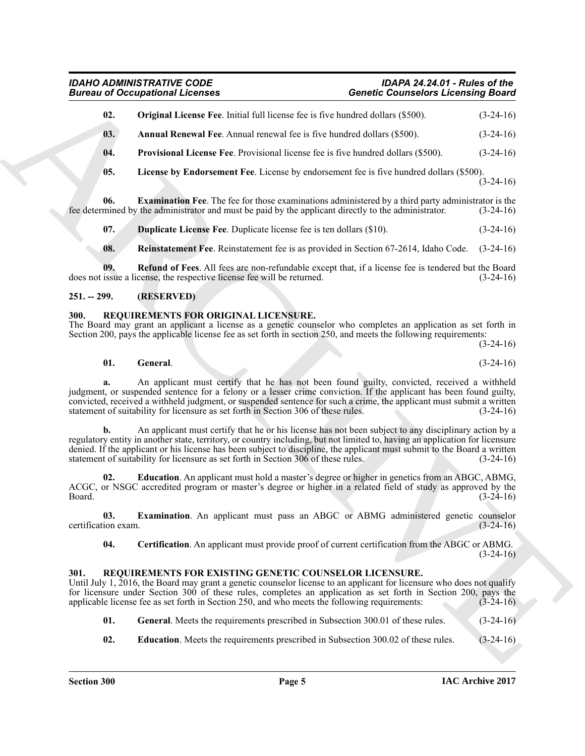### <span id="page-4-8"></span><span id="page-4-7"></span><span id="page-4-6"></span><span id="page-4-3"></span>*IDAHO ADMINISTRATIVE CODE IDAPA 24.24.01 - Rules of the Bureau of Occupational Licenses Genetic Counselors Licensing Board*

| 02.<br>03.<br>04.<br>05.   | <b>Original License Fee.</b> Initial full license fee is five hundred dollars (\$500).<br><b>Annual Renewal Fee.</b> Annual renewal fee is five hundred dollars (\$500).<br><b>Provisional License Fee.</b> Provisional license fee is five hundred dollars (\$500).                                                                                                                                                                                    | $(3-24-16)$                |
|----------------------------|---------------------------------------------------------------------------------------------------------------------------------------------------------------------------------------------------------------------------------------------------------------------------------------------------------------------------------------------------------------------------------------------------------------------------------------------------------|----------------------------|
|                            |                                                                                                                                                                                                                                                                                                                                                                                                                                                         | $(3-24-16)$<br>$(3-24-16)$ |
|                            |                                                                                                                                                                                                                                                                                                                                                                                                                                                         |                            |
|                            |                                                                                                                                                                                                                                                                                                                                                                                                                                                         |                            |
|                            | License by Endorsement Fee. License by endorsement fee is five hundred dollars (\$500).                                                                                                                                                                                                                                                                                                                                                                 | $(3-24-16)$                |
| 06.                        | <b>Examination Fee.</b> The fee for those examinations administered by a third party administrator is the<br>fee determined by the administrator and must be paid by the applicant directly to the administrator.                                                                                                                                                                                                                                       | $(3-24-16)$                |
| 07.                        | <b>Duplicate License Fee.</b> Duplicate license fee is ten dollars (\$10).                                                                                                                                                                                                                                                                                                                                                                              | $(3-24-16)$                |
| 08.                        | Reinstatement Fee. Reinstatement fee is as provided in Section 67-2614, Idaho Code.                                                                                                                                                                                                                                                                                                                                                                     | $(3-24-16)$                |
| 09.                        | <b>Refund of Fees.</b> All fees are non-refundable except that, if a license fee is tendered but the Board<br>does not issue a license, the respective license fee will be returned.                                                                                                                                                                                                                                                                    | $(3-24-16)$                |
| $251. - 299.$              | (RESERVED)                                                                                                                                                                                                                                                                                                                                                                                                                                              |                            |
| 300.                       | REQUIREMENTS FOR ORIGINAL LICENSURE.<br>The Board may grant an applicant a license as a genetic counselor who completes an application as set forth in<br>Section 200, pays the applicable license fee as set forth in section 250, and meets the following requirements:                                                                                                                                                                               |                            |
|                            |                                                                                                                                                                                                                                                                                                                                                                                                                                                         | $(3-24-16)$                |
| 01.                        | General.                                                                                                                                                                                                                                                                                                                                                                                                                                                | $(3-24-16)$                |
|                            | An applicant must certify that he has not been found guilty, convicted, received a withheld<br>judgment, or suspended sentence for a felony or a lesser crime conviction. If the applicant has been found guilty,<br>convicted, received a withheld judgment, or suspended sentence for such a crime, the applicant must submit a written<br>statement of suitability for licensure as set forth in Section 306 of these rules.                         | $(3-24-16)$                |
| b.                         | An applicant must certify that he or his license has not been subject to any disciplinary action by a<br>regulatory entity in another state, territory, or country including, but not limited to, having an application for licensure<br>denied. If the applicant or his license has been subject to discipline, the applicant must submit to the Board a written<br>statement of suitability for licensure as set forth in Section 306 of these rules. | $(3-24-16)$                |
| 02.<br>Board.              | <b>Education</b> . An applicant must hold a master's degree or higher in genetics from an ABGC, ABMG,<br>ACGC, or NSGC accredited program or master's degree or higher in a related field of study as approved by the                                                                                                                                                                                                                                   | $(3-24-16)$                |
| 03.<br>certification exam. | Examination. An applicant must pass an ABGC or ABMG administered genetic counselor                                                                                                                                                                                                                                                                                                                                                                      | $(3-24-16)$                |
| 04.                        | Certification. An applicant must provide proof of current certification from the ABGC or ABMG.                                                                                                                                                                                                                                                                                                                                                          | $(3-24-16)$                |
| 301.                       | REQUIREMENTS FOR EXISTING GENETIC COUNSELOR LICENSURE.<br>Until July 1, 2016, the Board may grant a genetic counselor license to an applicant for licensure who does not qualify<br>for licensure under Section 300 of these rules, completes an application as set forth in Section 200, pays the<br>applicable license fee as set forth in Section 250, and who meets the following requirements:                                                     | $(3-24-16)$                |
|                            |                                                                                                                                                                                                                                                                                                                                                                                                                                                         |                            |
| 01.                        | General. Meets the requirements prescribed in Subsection 300.01 of these rules.                                                                                                                                                                                                                                                                                                                                                                         | $(3-24-16)$                |

#### <span id="page-4-10"></span><span id="page-4-9"></span><span id="page-4-5"></span><span id="page-4-4"></span><span id="page-4-0"></span>**251. -- 299. (RESERVED)**

#### <span id="page-4-17"></span><span id="page-4-14"></span><span id="page-4-1"></span>**300. REQUIREMENTS FOR ORIGINAL LICENSURE.**

#### <span id="page-4-16"></span><span id="page-4-15"></span><span id="page-4-11"></span><span id="page-4-2"></span>**301. REQUIREMENTS FOR EXISTING GENETIC COUNSELOR LICENSURE.**

- <span id="page-4-13"></span><span id="page-4-12"></span>**01.** General. Meets the requirements prescribed in Subsection 300.01 of these rules. (3-24-16)
- **02. Education**. Meets the requirements prescribed in Subsection 300.02 of these rules. (3-24-16)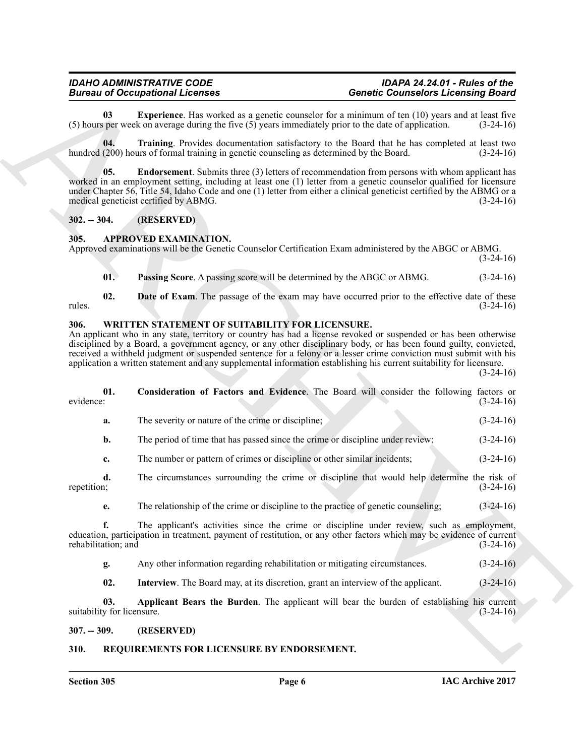#### <span id="page-5-10"></span><span id="page-5-9"></span><span id="page-5-8"></span><span id="page-5-0"></span>**302. -- 304. (RESERVED)**

#### <span id="page-5-7"></span><span id="page-5-5"></span><span id="page-5-1"></span>**305. APPROVED EXAMINATION.**

#### <span id="page-5-14"></span><span id="page-5-12"></span><span id="page-5-6"></span><span id="page-5-2"></span>**306. WRITTEN STATEMENT OF SUITABILITY FOR LICENSURE.**

|               |                            | <b>Bureau of Occupational Licenses</b><br><b>Genetic Counselors Licensing Board</b>                                                                                                                                                                                                                                                                                                                                                                                                                                                   |             |
|---------------|----------------------------|---------------------------------------------------------------------------------------------------------------------------------------------------------------------------------------------------------------------------------------------------------------------------------------------------------------------------------------------------------------------------------------------------------------------------------------------------------------------------------------------------------------------------------------|-------------|
|               | 03                         | <b>Experience</b> . Has worked as a genetic counselor for a minimum of ten (10) years and at least five<br>$(5)$ hours per week on average during the five $(5)$ years immediately prior to the date of application.                                                                                                                                                                                                                                                                                                                  | $(3-24-16)$ |
|               | 04.                        | Training. Provides documentation satisfactory to the Board that he has completed at least two<br>hundred (200) hours of formal training in genetic counseling as determined by the Board.                                                                                                                                                                                                                                                                                                                                             | $(3-24-16)$ |
|               | 05.                        | <b>Endorsement</b> . Submits three (3) letters of recommendation from persons with whom applicant has<br>worked in an employment setting, including at least one (1) letter from a genetic counselor qualified for licensure<br>under Chapter 56, Title 54, Idaho Code and one (1) letter from either a clinical geneticist certified by the ABMG or a<br>medical geneticist certified by ABMG.                                                                                                                                       | $(3-24-16)$ |
| $302. - 304.$ |                            | (RESERVED)                                                                                                                                                                                                                                                                                                                                                                                                                                                                                                                            |             |
| 305.          |                            | <b>APPROVED EXAMINATION.</b><br>Approved examinations will be the Genetic Counselor Certification Exam administered by the ABGC or ABMG.                                                                                                                                                                                                                                                                                                                                                                                              | $(3-24-16)$ |
|               | 01.                        | Passing Score. A passing score will be determined by the ABGC or ABMG.                                                                                                                                                                                                                                                                                                                                                                                                                                                                | $(3-24-16)$ |
| rules.        | 02.                        | Date of Exam. The passage of the exam may have occurred prior to the effective date of these                                                                                                                                                                                                                                                                                                                                                                                                                                          | $(3-24-16)$ |
| 306.          |                            | WRITTEN STATEMENT OF SUITABILITY FOR LICENSURE.<br>An applicant who in any state, territory or country has had a license revoked or suspended or has been otherwise<br>disciplined by a Board, a government agency, or any other disciplinary body, or has been found guilty, convicted,<br>received a withheld judgment or suspended sentence for a felony or a lesser crime conviction must submit with his<br>application a written statement and any supplemental information establishing his current suitability for licensure. | $(3-24-16)$ |
| evidence:     | 01.                        | Consideration of Factors and Evidence. The Board will consider the following factors or                                                                                                                                                                                                                                                                                                                                                                                                                                               | $(3-24-16)$ |
|               | a.                         | The severity or nature of the crime or discipline;                                                                                                                                                                                                                                                                                                                                                                                                                                                                                    | $(3-24-16)$ |
|               | b.                         | The period of time that has passed since the crime or discipline under review;                                                                                                                                                                                                                                                                                                                                                                                                                                                        | $(3-24-16)$ |
|               | c.                         | The number or pattern of crimes or discipline or other similar incidents;                                                                                                                                                                                                                                                                                                                                                                                                                                                             | $(3-24-16)$ |
| repetition;   | d.                         | The circumstances surrounding the crime or discipline that would help determine the risk of                                                                                                                                                                                                                                                                                                                                                                                                                                           | $(3-24-16)$ |
|               | e.                         | The relationship of the crime or discipline to the practice of genetic counseling;                                                                                                                                                                                                                                                                                                                                                                                                                                                    | $(3-24-16)$ |
|               | f.<br>rehabilitation; and  | The applicant's activities since the crime or discipline under review, such as employment,<br>education, participation in treatment, payment of restitution, or any other factors which may be evidence of current                                                                                                                                                                                                                                                                                                                    | $(3-24-16)$ |
|               | g.                         | Any other information regarding rehabilitation or mitigating circumstances.                                                                                                                                                                                                                                                                                                                                                                                                                                                           | $(3-24-16)$ |
|               | 02.                        | Interview. The Board may, at its discretion, grant an interview of the applicant.                                                                                                                                                                                                                                                                                                                                                                                                                                                     | $(3-24-16)$ |
|               | 03.                        | Applicant Bears the Burden. The applicant will bear the burden of establishing his current                                                                                                                                                                                                                                                                                                                                                                                                                                            | $(3-24-16)$ |
|               | suitability for licensure. |                                                                                                                                                                                                                                                                                                                                                                                                                                                                                                                                       |             |
| $307. - 309.$ |                            | (RESERVED)                                                                                                                                                                                                                                                                                                                                                                                                                                                                                                                            |             |

#### <span id="page-5-15"></span><span id="page-5-13"></span><span id="page-5-11"></span><span id="page-5-4"></span><span id="page-5-3"></span>**310. REQUIREMENTS FOR LICENSURE BY ENDORSEMENT.**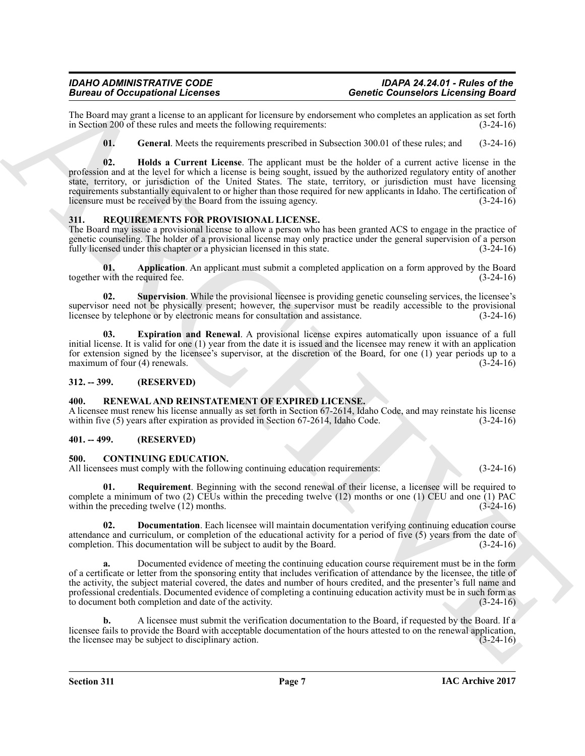The Board may grant a license to an applicant for licensure by endorsement who completes an application as set forth in Section 200 of these rules and meets the following requirements: (3-24-16) in Section 200 of these rules and meets the following requirements:

<span id="page-6-10"></span><span id="page-6-9"></span>**01.** General. Meets the requirements prescribed in Subsection 300.01 of these rules; and (3-24-16)

Because of Occupation Licensine and specific the same of various distance is a specific the same of the same of the same of the same of the same of the same of the same of the same of the same of the same of the same of t **02. Holds a Current License**. The applicant must be the holder of a current active license in the profession and at the level for which a license is being sought, issued by the authorized regulatory entity of another state, territory, or jurisdiction of the United States. The state, territory, or jurisdiction must have licensing requirements substantially equivalent to or higher than those required for new applicants in Idaho. The certification of licensure must be received by the Board from the issuing agency. (3-24-16)

#### <span id="page-6-11"></span><span id="page-6-0"></span>**311. REQUIREMENTS FOR PROVISIONAL LICENSE.**

The Board may issue a provisional license to allow a person who has been granted ACS to engage in the practice of genetic counseling. The holder of a provisional license may only practice under the general supervision of a person fully licensed under this chapter or a physician licensed in this state. (3-24-16)

<span id="page-6-12"></span>**01. Application**. An applicant must submit a completed application on a form approved by the Board with the required fee. together with the required fee.

<span id="page-6-14"></span>**02. Supervision**. While the provisional licensee is providing genetic counseling services, the licensee's supervisor need not be physically present; however, the supervisor must be readily accessible to the provisional licensee by telephone or by electronic means for consultation and assistance. (3-24-16) licensee by telephone or by electronic means for consultation and assistance.

<span id="page-6-13"></span>**03. Expiration and Renewal**. A provisional license expires automatically upon issuance of a full initial license. It is valid for one (1) year from the date it is issued and the licensee may renew it with an application for extension signed by the licensee's supervisor, at the discretion of the Board, for one (1) year periods up to a maximum of four (4) renewals. (3-24-16) maximum of four  $(4)$  renewals.

#### <span id="page-6-1"></span>**312. -- 399. (RESERVED)**

#### <span id="page-6-8"></span><span id="page-6-2"></span>**400. RENEWAL AND REINSTATEMENT OF EXPIRED LICENSE.**

A licensee must renew his license annually as set forth in Section 67-2614, Idaho Code, and may reinstate his license within five (5) years after expiration as provided in Section 67-2614, Idaho Code. (3-24-16) within five  $(5)$  years after expiration as provided in Section 67-2614, Idaho Code.

#### <span id="page-6-3"></span>**401. -- 499. (RESERVED)**

#### <span id="page-6-5"></span><span id="page-6-4"></span>**500. CONTINUING EDUCATION.**

All licensees must comply with the following continuing education requirements: (3-24-16)

<span id="page-6-7"></span>**01. Requirement**. Beginning with the second renewal of their license, a licensee will be required to complete a minimum of two (2) CEUs within the preceding twelve (12) months or one (1) CEU and one (1) PAC within the preceding twelve (12) months. (3-24-16)

<span id="page-6-6"></span>**02. Documentation**. Each licensee will maintain documentation verifying continuing education course attendance and curriculum, or completion of the educational activity for a period of five (5) years from the date of completion. This documentation will be subject to audit by the Board. (3-24-16) completion. This documentation will be subject to audit by the Board.

**a.** Documented evidence of meeting the continuing education course requirement must be in the form of a certificate or letter from the sponsoring entity that includes verification of attendance by the licensee, the title of the activity, the subject material covered, the dates and number of hours credited, and the presenter's full name and professional credentials. Documented evidence of completing a continuing education activity must be in such form as to document both completion and date of the activity. (3-24-16)

**b.** A licensee must submit the verification documentation to the Board, if requested by the Board. If a licensee fails to provide the Board with acceptable documentation of the hours attested to on the renewal application, the licensee may be subject to disciplinary action. (3-24-16) the licensee may be subject to disciplinary action.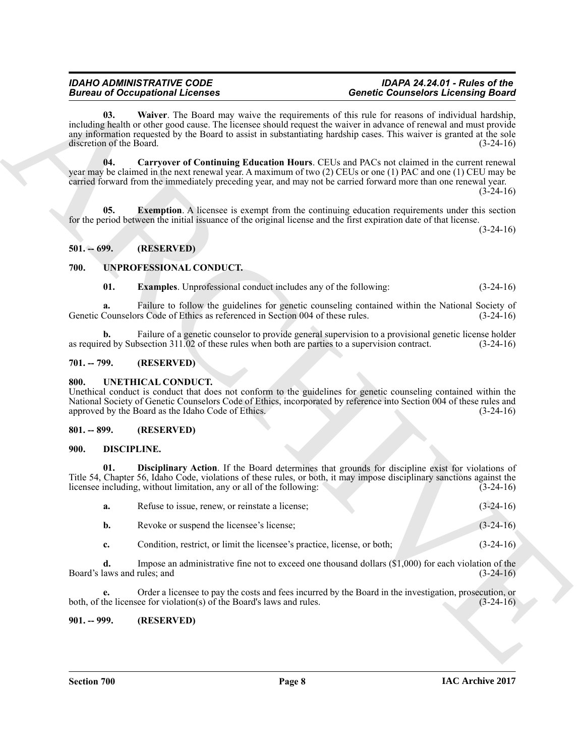#### <span id="page-7-9"></span><span id="page-7-7"></span>*IDAHO ADMINISTRATIVE CODE IDAPA 24.24.01 - Rules of the Bureau of Occupational Licenses Genetic Counselors Licensing Board*

### <span id="page-7-8"></span><span id="page-7-0"></span>**501. -- 699. (RESERVED)**

#### <span id="page-7-14"></span><span id="page-7-13"></span><span id="page-7-1"></span>**700. UNPROFESSIONAL CONDUCT.**

#### <span id="page-7-2"></span>**701. -- 799. (RESERVED)**

#### <span id="page-7-12"></span><span id="page-7-3"></span>**800. UNETHICAL CONDUCT.**

#### <span id="page-7-4"></span>**801. -- 899. (RESERVED)**

#### <span id="page-7-11"></span><span id="page-7-10"></span><span id="page-7-5"></span>**900. DISCIPLINE.**

|                                   | <b>Bureau of Occupational Licenses</b>                                                           | <b>Genetic Counselors Licensing Board</b>                                                                                                                                                                                                                                                                                                             |             |
|-----------------------------------|--------------------------------------------------------------------------------------------------|-------------------------------------------------------------------------------------------------------------------------------------------------------------------------------------------------------------------------------------------------------------------------------------------------------------------------------------------------------|-------------|
| 03.<br>discretion of the Board.   |                                                                                                  | <b>Waiver</b> . The Board may waive the requirements of this rule for reasons of individual hardship,<br>including health or other good cause. The licensee should request the waiver in advance of renewal and must provide<br>any information requested by the Board to assist in substantiating hardship cases. This waiver is granted at the sole | $(3-24-16)$ |
| 04.                               |                                                                                                  | Carryover of Continuing Education Hours. CEUs and PACs not claimed in the current renewal<br>year may be claimed in the next renewal year. A maximum of two (2) CEUs or one (1) PAC and one (1) CEU may be<br>carried forward from the immediately preceding year, and may not be carried forward more than one renewal year.                         | $(3-24-16)$ |
| 05.                               |                                                                                                  | <b>Exemption.</b> A licensee is exempt from the continuing education requirements under this section<br>for the period between the initial issuance of the original license and the first expiration date of that license.                                                                                                                            | $(3-24-16)$ |
| $501. - 699.$                     | (RESERVED)                                                                                       |                                                                                                                                                                                                                                                                                                                                                       |             |
| 700.                              | UNPROFESSIONAL CONDUCT.                                                                          |                                                                                                                                                                                                                                                                                                                                                       |             |
| 01.                               | <b>Examples</b> . Unprofessional conduct includes any of the following:                          |                                                                                                                                                                                                                                                                                                                                                       | $(3-24-16)$ |
| a.                                | Genetic Counselors Code of Ethics as referenced in Section 004 of these rules.                   | Failure to follow the guidelines for genetic counseling contained within the National Society of                                                                                                                                                                                                                                                      | $(3-24-16)$ |
| b.                                | as required by Subsection 311.02 of these rules when both are parties to a supervision contract. | Failure of a genetic counselor to provide general supervision to a provisional genetic license holder                                                                                                                                                                                                                                                 | $(3-24-16)$ |
| $701. - 799.$                     | (RESERVED)                                                                                       |                                                                                                                                                                                                                                                                                                                                                       |             |
| 800.                              | UNETHICAL CONDUCT.<br>approved by the Board as the Idaho Code of Ethics.                         | Unethical conduct is conduct that does not conform to the guidelines for genetic counseling contained within the<br>National Society of Genetic Counselors Code of Ethics, incorporated by reference into Section 004 of these rules and                                                                                                              | $(3-24-16)$ |
| $801. - 899.$                     | (RESERVED)                                                                                       |                                                                                                                                                                                                                                                                                                                                                       |             |
| 900.                              | DISCIPLINE.                                                                                      |                                                                                                                                                                                                                                                                                                                                                       |             |
| 01.                               | licensee including, without limitation, any or all of the following:                             | Disciplinary Action. If the Board determines that grounds for discipline exist for violations of<br>Title 54, Chapter 56, Idaho Code, violations of these rules, or both, it may impose disciplinary sanctions against the                                                                                                                            | $(3-24-16)$ |
| a.                                | Refuse to issue, renew, or reinstate a license;                                                  |                                                                                                                                                                                                                                                                                                                                                       | $(3-24-16)$ |
| b.                                | Revoke or suspend the licensee's license;                                                        |                                                                                                                                                                                                                                                                                                                                                       | $(3-24-16)$ |
| c.                                | Condition, restrict, or limit the licensee's practice, license, or both;                         |                                                                                                                                                                                                                                                                                                                                                       | $(3-24-16)$ |
| d.<br>Board's laws and rules; and |                                                                                                  | Impose an administrative fine not to exceed one thousand dollars $(\$1,000)$ for each violation of the                                                                                                                                                                                                                                                | $(3-24-16)$ |
| e.                                | both, of the licensee for violation(s) of the Board's laws and rules.                            | Order a licensee to pay the costs and fees incurred by the Board in the investigation, prosecution, or                                                                                                                                                                                                                                                | $(3-24-16)$ |
|                                   |                                                                                                  |                                                                                                                                                                                                                                                                                                                                                       |             |

#### <span id="page-7-6"></span>**901. -- 999. (RESERVED)**